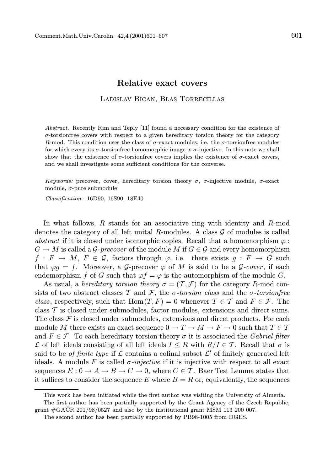## Relative exact covers

Ladislav Bican, Blas Torrecillas

Abstract. Recently Rim and Teply [11] found a necessary condition for the existence of  $\sigma$ -torsionfree covers with respect to a given hereditary torsion theory for the category R-mod. This condition uses the class of  $\sigma$ -exact modules; i.e. the  $\sigma$ -torsionfree modules for which every its  $\sigma$ -torsionfree homomorphic image is  $\sigma$ -injective. In this note we shall show that the existence of  $\sigma$ -torsionfree covers implies the existence of  $\sigma$ -exact covers. and we shall investigate some sufficient conditions for the converse.

Keywords: precover, cover, hereditary torsion theory  $\sigma$ ,  $\sigma$ -injective module,  $\sigma$ -exact module,  $\sigma$ -pure submodule

Classification: 16D90, 16S90, 18E40

In what follows, R stands for an associative ring with identity and R-mod denotes the category of all left unital  $R$ -modules. A class  $G$  of modules is called abstract if it is closed under isomorphic copies. Recall that a homomorphism  $\varphi$ :  $G \to M$  is called a  $\mathcal G$ -precover of the module M if  $G \in \mathcal G$  and every homomorphism  $f: F \to M$ ,  $F \in \mathcal{G}$ , factors through  $\varphi$ , i.e. there exists  $q: F \to G$  such that  $\varphi g = f$ . Moreover, a G-precover  $\varphi$  of M is said to be a G-cover, if each endomorphism f of G such that  $\varphi f = \varphi$  is the automorphism of the module G.

As usual, a hereditary torsion theory  $\sigma = (\mathcal{T}, \mathcal{F})$  for the category R-mod consists of two abstract classes T and F, the  $\sigma$ -torsion class and the  $\sigma$ -torsionfree class, respectively, such that Hom $(T, F) = 0$  whenever  $T \in \mathcal{T}$  and  $F \in \mathcal{F}$ . The class  $T$  is closed under submodules, factor modules, extensions and direct sums. The class  $\mathcal F$  is closed under submodules, extensions and direct products. For each module M there exists an exact sequence  $0 \to T \to M \to F \to 0$  such that  $T \in T$ and  $F \in \mathcal{F}$ . To each hereditary torsion theory  $\sigma$  it is associated the *Gabriel filter* L of left ideals consisting of all left ideals  $I \leq R$  with  $R/I \in \mathcal{T}$ . Recall that  $\sigma$  is said to be *of finite type* if  $\mathcal L$  contains a cofinal subset  $\mathcal L'$  of finitely generated left ideals. A module F is called  $\sigma$ -injective if it is injective with respect to all exact sequences  $E: 0 \to A \to B \to C \to 0$ , where  $C \in \mathcal{T}$ . Baer Test Lemma states that it suffices to consider the sequence E where  $B = R$  or, equivalently, the sequences

This work has been initiated while the first author was visiting the University of Almería.

The first author has been partially supported by the Grant Agency of the Czech Republic, grant  $\#\text{GACR}$  201/98/0527 and also by the institutional grant MSM 113 200 007.

The second author has been partially supported by PB98-1005 from DGES.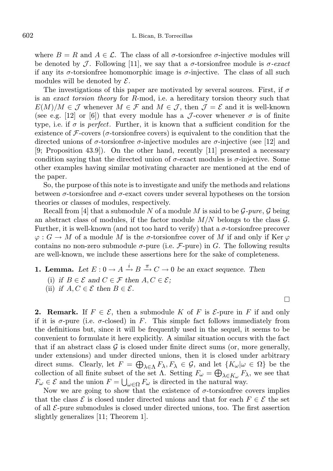where  $B = R$  and  $A \in \mathcal{L}$ . The class of all  $\sigma$ -torsionfree  $\sigma$ -injective modules will be denoted by J. Following [11], we say that a  $\sigma$ -torsionfree module is  $\sigma$ -exact if any its  $\sigma$ -torsion free homomorphic image is  $\sigma$ -injective. The class of all such modules will be denoted by  $\mathcal{E}.$ 

The investigations of this paper are motivated by several sources. First, if  $\sigma$ is an exact torsion theory for R-mod, i.e. a hereditary torsion theory such that  $E(M)/M \in \mathcal{J}$  whenever  $M \in \mathcal{F}$  and  $M \in \mathcal{J}$ , then  $\mathcal{J} = \mathcal{E}$  and it is well-known (see e.g. [12] or [6]) that every module has a J-cover whenever  $\sigma$  is of finite type, i.e. if  $\sigma$  is perfect. Further, it is known that a sufficient condition for the existence of  $\mathcal F$ -covers ( $\sigma$ -torsionfree covers) is equivalent to the condition that the directed unions of  $\sigma$ -torsionfree  $\sigma$ -injective modules are  $\sigma$ -injective (see [12] and [9; Proposition 43.9]). On the other hand, recently [11] presented a necessary condition saying that the directed union of  $\sigma$ -exact modules is  $\sigma$ -injective. Some other examples having similar motivating character are mentioned at the end of the paper.

So, the purpose of this note is to investigate and unify the methods and relations between  $\sigma$ -torsionfree and  $\sigma$ -exact covers under several hypotheses on the torsion theories or classes of modules, respectively.

Recall from [4] that a submodule N of a module M is said to be  $\mathcal{G}\text{-}pure, \mathcal{G}$  being an abstract class of modules, if the factor module  $M/N$  belongs to the class  $\mathcal{G}$ . Further, it is well-known (and not too hard to verify) that a  $\sigma$ -torsionfree precover  $\varphi: G \to M$  of a module M is the  $\sigma$ -torsionfree cover of M if and only if Ker  $\varphi$ contains no non-zero submodule  $\sigma$ -pure (i.e. F-pure) in G. The following results are well-known, we include these assertions here for the sake of completeness.

**1. Lemma.** Let  $E: 0 \to A \xrightarrow{i} B \xrightarrow{\pi} C \to 0$  be an exact sequence. Then (i) if  $B \in \mathcal{E}$  and  $C \in \mathcal{F}$  then  $A, C \in \mathcal{E}$ ; (ii) if  $A, C \in \mathcal{E}$  then  $B \in \mathcal{E}$ .

**2. Remark.** If  $F \in \mathcal{E}$ , then a submodule K of F is  $\mathcal{E}$ -pure in F if and only if it is  $\sigma$ -pure (i.e.  $\sigma$ -closed) in F. This simple fact follows immediately from the definitions but, since it will be frequently used in the sequel, it seems to be convenient to formulate it here explicitly. A similar situation occurs with the fact that if an abstract class  $\mathcal G$  is closed under finite direct sums (or, more generally, under extensions) and under directed unions, then it is closed under arbitrary direct sums. Clearly, let  $F = \bigoplus_{\lambda \in \Lambda} F_{\lambda}, F_{\lambda} \in \mathcal{G}$ , and let  $\{K_{\omega} | \omega \in \Omega\}$  be the collection of all finite subset of the set  $\Lambda$ . Setting  $F_{\omega} = \bigoplus_{\lambda \in K_{\omega}} F_{\lambda}$ , we see that  $F_{\omega} \in \mathcal{E}$  and the union  $F = \bigcup_{\omega \in \Omega} F_{\omega}$  is directed in the natural way.

Now we are going to show that the existence of  $\sigma$ -torsion free covers implies that the class  $\mathcal E$  is closed under directed unions and that for each  $F \in \mathcal E$  the set of all  $\mathcal{E}$ -pure submodules is closed under directed unions, too. The first assertion slightly generalizes [11; Theorem 1].

П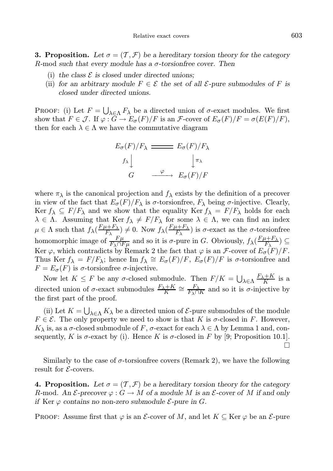**3. Proposition.** Let  $\sigma = (T, \mathcal{F})$  be a hereditary torsion theory for the category R-mod such that every module has a  $\sigma$ -torsion free cover. Then

- (i) the class  $\mathcal E$  is closed under directed unions;
- (ii) for an arbitrary module  $F \in \mathcal{E}$  the set of all  $\mathcal{E}$ -pure submodules of F is closed under directed unions.

PROOF: (i) Let  $F = \bigcup_{\lambda \in \Lambda} F_{\lambda}$  be a directed union of  $\sigma$ -exact modules. We first show that  $F \in \mathcal{J}$ . If  $\varphi : G \to E_{\sigma}(F)/F$  is an  $\mathcal{F}$ -cover of  $E_{\sigma}(F)/F = \sigma(E(F)/F)$ , then for each  $\lambda \in \Lambda$  we have the commutative diagram

$$
E_{\sigma}(F)/F_{\lambda} \xrightarrow{E_{\sigma}(F)/F_{\lambda}}
$$

$$
f_{\lambda} \downarrow \qquad \qquad \downarrow \pi_{\lambda}
$$

$$
G \xrightarrow{\varphi} E_{\sigma}(F)/F
$$

where  $\pi_{\lambda}$  is the canonical projection and  $f_{\lambda}$  exists by the definition of a precover in view of the fact that  $E_{\sigma}(F)/F_{\lambda}$  is  $\sigma$ -torsionfree,  $F_{\lambda}$  being  $\sigma$ -injective. Clearly, Ker  $f_{\lambda} \subseteq F/F_{\lambda}$  and we show that the equality Ker  $f_{\lambda} = F/F_{\lambda}$  holds for each  $\lambda \in \Lambda$ . Assuming that  $\text{Ker } f_{\lambda} \neq F/F_{\lambda}$  for some  $\lambda \in \Lambda$ , we can find an index  $\mu \in \Lambda$  such that  $f_{\lambda}(\frac{F\mu + F_{\lambda}}{F_{\lambda}})$  $(\frac{F\mu+F_{\lambda}}{F_{\lambda}}) \neq 0$ . Now  $f_{\lambda}(\frac{F\mu+F_{\lambda}}{F_{\lambda}})$  $(\frac{F+\Gamma_{\lambda}}{F_{\lambda}})$  is  $\sigma$ -exact as the  $\sigma$ -torsion free homomorphic image of  $\frac{F\mu}{F_{\lambda}\cap F\mu}$  and so it is  $\sigma$ -pure in G. Obviously,  $f_{\lambda}(\frac{F\mu+F_{\lambda}}{F_{\lambda}})$  $\frac{I+\Gamma\lambda}{F_{\lambda}})\subseteq$ Ker  $\varphi$ , which contradicts by Remark 2 the fact that  $\varphi$  is an *F*-cover of  $E_{\sigma}(\hat{F})/F$ . Thus Ker  $f_{\lambda} = F/F_{\lambda}$ ; hence Im  $f_{\lambda} \cong E_{\sigma}(F)/F$ ,  $E_{\sigma}(F)/F$  is  $\sigma$ -torsionfree and  $F = E_{\sigma}(F)$  is  $\sigma$ -torsionfree  $\sigma$ -injective.

Now let  $K \leq F$  be any  $\sigma$ -closed submodule. Then  $F/K = \bigcup_{\lambda \in \Lambda} \frac{F_{\lambda} + K}{K}$  is a directed union of  $\sigma$ -exact submodules  $\frac{F_{\lambda}+K}{K} \cong \frac{F_{\lambda}}{F_{\lambda}\cap K}$  and so it is  $\sigma$ -injective by the first part of the proof.

(ii) Let  $K = \bigcup_{\lambda \in \Lambda} K_{\lambda}$  be a directed union of  $\mathcal{E}$ -pure submodules of the module  $F \in \mathcal{E}$ . The only property we need to show is that K is  $\sigma$ -closed in F. However,  $K_{\lambda}$  is, as a  $\sigma$ -closed submodule of F,  $\sigma$ -exact for each  $\lambda \in \Lambda$  by Lemma 1 and, consequently, K is  $\sigma$ -exact by (i). Hence K is  $\sigma$ -closed in F by [9; Proposition 10.1].  $\Box$ 

Similarly to the case of  $\sigma$ -torsionfree covers (Remark 2), we have the following result for  $\mathcal{E}\text{-}{\rm covers}.$ 

**4. Proposition.** Let  $\sigma = (\mathcal{T}, \mathcal{F})$  be a hereditary torsion theory for the category R-mod. An  $\mathcal{E}\text{-precover}\varphi: G \to M$  of a module M is an  $\mathcal{E}\text{-cover}$  of M if and only if Ker  $\varphi$  contains no non-zero submodule  $\mathcal{E}$ -pure in G.

**PROOF:** Assume first that  $\varphi$  is an *E*-cover of M, and let  $K \subseteq \text{Ker } \varphi$  be an *E*-pure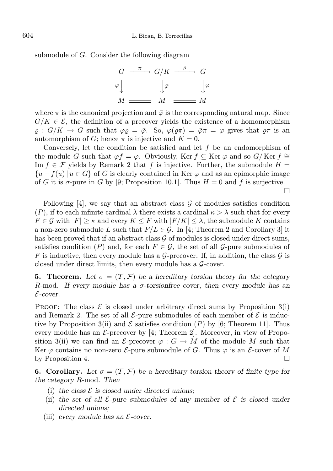submodule of G. Consider the following diagram

$$
\begin{array}{ccc}\nG & \xrightarrow{\pi} & G/K & \xrightarrow{\varrho} & G \\
\varphi & & \downarrow{\bar{\varphi}} & & \downarrow{\varphi} \\
M & \xrightarrow{\qquad} & M & \xrightarrow{\qquad} & M\n\end{array}
$$

where  $\pi$  is the canonical projection and  $\bar{\varphi}$  is the corresponding natural map. Since  $G/K \in \mathcal{E}$ , the definition of a precover yields the existence of a homomorphism  $\rho: G/K \to G$  such that  $\varphi \rho = \bar{\varphi}$ . So,  $\varphi(\rho \pi) = \bar{\varphi} \pi = \varphi$  gives that  $\rho \pi$  is an automorphism of G; hence  $\pi$  is injective and  $K = 0$ .

Conversely, let the condition be satisfied and let  $f$  be an endomorphism of the module G such that  $\varphi f = \varphi$ . Obviously, Ker f ⊂ Ker  $\varphi$  and so G/Ker f ≅ Im  $f \in \mathcal{F}$  yields by Remark 2 that f is injective. Further, the submodule  $H =$  ${u - f(u) \mid u \in G}$  of G is clearly contained in Ker  $\varphi$  and as an epimorphic image of G it is  $\sigma$ -pure in G by [9; Proposition 10.1]. Thus  $H = 0$  and f is surjective.

 $\Box$ 

Following  $[4]$ , we say that an abstract class  $\mathcal G$  of modules satisfies condition (P), if to each infinite cardinal  $\lambda$  there exists a cardinal  $\kappa > \lambda$  such that for every  $F \in \mathcal{G}$  with  $|F| \geq \kappa$  and every  $K \leq F$  with  $|F/K| \leq \lambda$ , the submodule K contains a non-zero submodule L such that  $F/L \in \mathcal{G}$ . In [4; Theorem 2 and Corollary 3] it has been proved that if an abstract class  $\mathcal G$  of modules is closed under direct sums, satisfies condition (P) and, for each  $F \in \mathcal{G}$ , the set of all  $\mathcal{G}$ -pure submodules of F is inductive, then every module has a G-precover. If, in addition, the class  $\mathcal G$  is closed under direct limits, then every module has a  $G$ -cover.

**5. Theorem.** Let  $\sigma = (\mathcal{T}, \mathcal{F})$  be a hereditary torsion theory for the category R-mod. If every module has a σ-torsionfree cover, then every module has an E-cover.

PROOF: The class  $\mathcal E$  is closed under arbitrary direct sums by Proposition 3(i) and Remark 2. The set of all  $\mathcal{E}$ -pure submodules of each member of  $\mathcal{E}$  is inductive by Proposition 3(ii) and  $\mathcal E$  satisfies condition (P) by [6; Theorem 11]. Thus every module has an  $\mathcal{E}\text{-precover}$  by [4; Theorem 2]. Moreover, in view of Proposition 3(ii) we can find an  $\mathcal{E}\text{-precover }\varphi:G\to M$  of the module M such that Ker  $\varphi$  contains no non-zero E-pure submodule of G. Thus  $\varphi$  is an E-cover of M by Proposition 4.  $\Box$ 

**6. Corollary.** Let  $\sigma = (T, \mathcal{F})$  be a hereditary torsion theory of finite type for the category R-mod. Then

- (i) the class  $\mathcal E$  is closed under directed unions;
- (ii) the set of all  $\mathcal{E}\text{-pure submodules}$  of any member of  $\mathcal{E}$  is closed under directed unions;
- (iii) every module has an  $\mathcal{E}\text{-cover.}$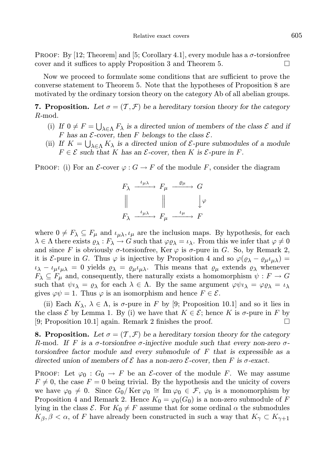PROOF: By [12; Theorem] and [5; Corollary 4.1], every module has a  $\sigma$ -torsion free cover and it suffices to apply Proposition 3 and Theorem 5.

Now we proceed to formulate some conditions that are sufficient to prove the converse statement to Theorem 5. Note that the hypotheses of Proposition 8 are motivated by the ordinary torsion theory on the category Ab of all abelian groups.

**7. Proposition.** Let  $\sigma = (T, \mathcal{F})$  be a hereditary torsion theory for the category R-mod.

- (i) If  $0 \neq F = \bigcup_{\lambda \in \Lambda} F_{\lambda}$  is a directed union of members of the class  $\mathcal{E}$  and if F has an  $\mathcal{E}\text{-cover}$ , then F belongs to the class  $\mathcal{E}\text{-}$ .
- (ii) If  $K = \bigcup_{\lambda \in \Lambda} K_{\lambda}$  is a directed union of  $\mathcal{E}$ -pure submodules of a module  $F \in \mathcal{E}$  such that K has an  $\mathcal{E}$ -cover, then K is  $\mathcal{E}$ -pure in F.

**PROOF:** (i) For an  $\mathcal{E}\text{-cover }\varphi: G \to F$  of the module F, consider the diagram

$$
F_{\lambda} \xrightarrow{\iota_{\mu\lambda}} F_{\mu} \xrightarrow{\varrho_{\mu}} G
$$
  

$$
\parallel \qquad \qquad \parallel \qquad \qquad \downarrow \varphi
$$
  

$$
F_{\lambda} \xrightarrow{\iota_{\mu\lambda}} F_{\mu} \xrightarrow{\iota_{\mu}} F
$$

where  $0 \neq F_{\lambda} \subseteq F_{\mu}$  and  $\iota_{\mu\lambda}, \iota_{\mu}$  are the inclusion maps. By hypothesis, for each  $\lambda \in \Lambda$  there exists  $\varrho_\lambda : F_\lambda \to G$  such that  $\varphi \varrho_\lambda = \iota_\lambda$ . From this we infer that  $\varphi \neq 0$ and since F is obviously  $\sigma$ -torsionfree, Ker  $\varphi$  is  $\sigma$ -pure in G. So, by Remark 2, it is *E*-pure in G. Thus  $\varphi$  is injective by Proposition 4 and so  $\varphi(\varrho_{\lambda} - \varrho_{\mu} \iota_{\mu\lambda}) =$  $\iota_{\lambda} - \iota_{\mu} \iota_{\mu\lambda} = 0$  yields  $\varrho_{\lambda} = \varrho_{\mu} \iota_{\mu\lambda}$ . This means that  $\varrho_{\mu}$  extends  $\varrho_{\lambda}$  whenever  $F_{\lambda} \subseteq F_{\mu}$  and, consequently, there naturally exists a homomorphism  $\psi : F \to G$ such that  $\psi \iota_\lambda = \varrho_\lambda$  for each  $\lambda \in \Lambda$ . By the same argument  $\varphi \psi \iota_\lambda = \varphi \varrho_\lambda = \iota_\lambda$ gives  $\varphi \psi = 1$ . Thus  $\varphi$  is an isomorphism and hence  $F \in \mathcal{E}$ .

(ii) Each  $K_{\lambda}$ ,  $\lambda \in \Lambda$ , is  $\sigma$ -pure in F by [9; Proposition 10.1] and so it lies in the class  $\mathcal E$  by Lemma 1. By (i) we have that  $K \in \mathcal E$ ; hence K is  $\sigma$ -pure in F by [9; Proposition 10.1] again. Remark 2 finishes the proof.  $\Box$ 

**8. Proposition.** Let  $\sigma = (\mathcal{T}, \mathcal{F})$  be a hereditary torsion theory for the category R-mod. If F is a  $\sigma$ -torsionfree  $\sigma$ -injective module such that every non-zero  $\sigma$ torsionfree factor module and every submodule of F that is expressible as a directed union of members of  $\mathcal E$  has a non-zero  $\mathcal E$ -cover, then F is  $\sigma$ -exact.

**PROOF:** Let  $\varphi_0$  :  $G_0 \to F$  be an *E*-cover of the module F. We may assume  $F \neq 0$ , the case  $F = 0$  being trivial. By the hypothesis and the unicity of covers we have  $\varphi_0 \neq 0$ . Since  $G_0/Ker \varphi_0 \cong Im \varphi_0 \in \mathcal{F}, \varphi_0$  is a monomorphism by Proposition 4 and Remark 2. Hence  $K_0 = \varphi_0(G_0)$  is a non-zero submodule of F lying in the class  $\mathcal{E}$ . For  $K_0 \neq F$  assume that for some ordinal  $\alpha$  the submodules  $K_{\beta}, \beta < \alpha$ , of F have already been constructed in such a way that  $K_{\gamma} \subset K_{\gamma+1}$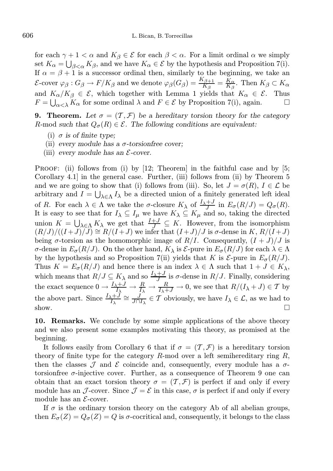for each  $\gamma + 1 < \alpha$  and  $K_{\beta} \in \mathcal{E}$  for each  $\beta < \alpha$ . For a limit ordinal  $\alpha$  we simply set  $K_{\alpha} = \bigcup_{\beta < \alpha} K_{\beta}$ , and we have  $K_{\alpha} \in \mathcal{E}$  by the hypothesis and Proposition 7(i). If  $\alpha = \beta + 1$  is a successor ordinal then, similarly to the beginning, we take an  $\mathcal{E}\text{-cover }\varphi_{\beta}: G_{\beta}\to F/K_{\beta} \text{ and we denote }\varphi_{\beta}(G_{\beta})=\frac{K_{\beta+1}}{K_{\beta}}=\frac{K_{\alpha}}{K_{\beta}}. \text{ Then } K_{\beta}\subset K_{\alpha}$ and  $K_{\alpha}/K_{\beta} \in \mathcal{E}$ , which together with Lemma 1 yields that  $K_{\alpha} \in \mathcal{E}$ . Thus  $F = \bigcup_{\alpha < \lambda} K_{\alpha}$  for some ordinal  $\lambda$  and  $F \in \mathcal{E}$  by Proposition 7(i), again.  $\Box$ 

**9. Theorem.** Let  $\sigma = (T, \mathcal{F})$  be a hereditary torsion theory for the category R-mod such that  $Q_{\sigma}(R) \in \mathcal{E}$ . The following conditions are equivalent:

- (i)  $\sigma$  is of finite type;
- (ii) every module has a  $\sigma$ -torsion free cover;
- (iii) every module has an  $\mathcal{E}\text{-cover.}$

PROOF: (ii) follows from (i) by  $[12;$  Theorem in the faithful case and by  $[5;$ Corollary 4.1] in the general case. Further, (iii) follows from (ii) by Theorem 5 and we are going to show that (i) follows from (iii). So, let  $J = \sigma(R)$ ,  $I \in \mathcal{L}$  be arbitrary and  $I = \bigcup_{\lambda \in \Lambda} I_{\lambda}$  be a directed union of a finitely generated left ideal of R. For each  $\lambda \in \Lambda$  we take the  $\sigma$ -closure  $K_{\lambda}$  of  $\frac{I_{\lambda}+J}{J}$  in  $E_{\sigma}(R/J) = Q_{\sigma}(R)$ . It is easy to see that for  $I_\lambda \subseteq I_\mu$  we have  $K_\lambda \subseteq K_\mu$  and so, taking the directed union  $K = \bigcup_{\lambda \in \Lambda} K_{\lambda}$  we get that  $\frac{I+J}{J} \subseteq K$ . However, from the isomorphism  $(R/J)/((I+J)/J) \cong R/(I+J)$  we infer that  $(I+J)/J$  is  $\sigma$ -dense in K,  $R/(I+J)$ being  $\sigma$ -torsion as the homomorphic image of  $R/I$ . Consequently,  $(I+J)/J$  is σ-dense in  $E_{\sigma}(R/J)$ . On the other hand,  $K_{\lambda}$  is  $\mathcal{E}_{\tau}$ -pure in  $E_{\sigma}(R/J)$  for each  $\lambda \in \Lambda$ by the hypothesis and so Proposition 7(ii) yields that K is  $\mathcal{E}_{\text{pure}}$  in  $E_{\sigma}(R/J)$ . Thus  $K = E_{\sigma}(R/J)$  and hence there is an index  $\lambda \in \Lambda$  such that  $1 + J \in K_{\lambda}$ , which means that  $R/J \subseteq K_{\lambda}$  and so  $\frac{I_{\lambda}+J}{J_{\lambda}}$  is  $\sigma$ -dense in  $R/J$ . Finally, considering the exact sequence  $0 \to \frac{I_{\lambda}+J}{I_{\lambda}} \to \frac{R}{I_{\lambda}} \to \frac{R}{I_{\lambda}+J} \to 0$ , we see that  $R/(I_{\lambda}+J) \in \mathcal{T}$  by the above part. Since  $\frac{I_{\lambda}+J}{I_{\lambda}} \cong \frac{J}{J\cap I_{\lambda}} \in \mathcal{T}$  obviously, we have  $I_{\lambda} \in \mathcal{L}$ , as we had to show.  $\Box$ 

10. Remarks. We conclude by some simple applications of the above theory and we also present some examples motivating this theory, as promised at the beginning.

It follows easily from Corollary 6 that if  $\sigma = (\mathcal{T}, \mathcal{F})$  is a hereditary torsion theory of finite type for the category  $R$ -mod over a left semihereditary ring  $R$ , then the classes  $\mathcal J$  and  $\mathcal E$  coincide and, consequently, every module has a  $\sigma$ torsionfree  $\sigma$ -injective cover. Further, as a consequence of Theorem 9 one can obtain that an exact torsion theory  $\sigma = (\mathcal{T}, \mathcal{F})$  is perfect if and only if every module has an J-cover. Since  $J = \mathcal{E}$  in this case,  $\sigma$  is perfect if and only if every module has an  $\mathcal{E}\text{-cover.}$ 

If  $\sigma$  is the ordinary torsion theory on the category Ab of all abelian groups, then  $E_{\sigma}(Z) = Q_{\sigma}(Z) = Q$  is  $\sigma$ -cocritical and, consequently, it belongs to the class